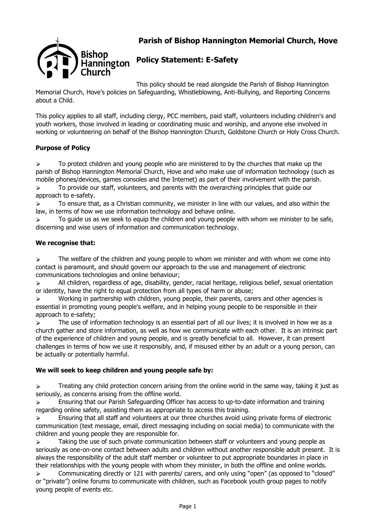

**Parish of Bishop Hannington Memorial Church, Hove**

## **Policy Statement: E-Safety**

This policy should be read alongside the Parish of Bishop Hannington

Memorial Church, Hove's policies on Safeguarding, Whistleblowing, Anti-Bullying, and Reporting Concerns about a Child.

This policy applies to all staff, including clergy, PCC members, paid staff, volunteers including children's and youth workers, those involved in leading or coordinating music and worship, and anyone else involved in working or volunteering on behalf of the Bishop Hannington Church, Goldstone Church or Holy Cross Church.

## **Purpose of Policy**

 $\geq$  To protect children and young people who are ministered to by the churches that make up the parish of Bishop Hannington Memorial Church, Hove and who make use of information technology (such as mobile phones/devices, games consoles and the Internet) as part of their involvement with the parish.  $\geq$  To provide our staff, volunteers, and parents with the overarching principles that quide our

approach to e-safety.

 $\triangleright$  To ensure that, as a Christian community, we minister in line with our values, and also within the law, in terms of how we use information technology and behave online.

To guide us as we seek to equip the children and young people with whom we minister to be safe, discerning and wise users of information and communication technology.

## **We recognise that:**

 $\triangleright$  The welfare of the children and young people to whom we minister and with whom we come into contact is paramount, and should govern our approach to the use and management of electronic communications technologies and online behaviour;

All children, regardless of age, disability, gender, racial heritage, religious belief, sexual orientation or identity, have the right to equal protection from all types of harm or abuse;

 $\triangleright$  Working in partnership with children, young people, their parents, carers and other agencies is essential in promoting young people's welfare, and in helping young people to be responsible in their approach to e-safety;

 $\geq$  The use of information technology is an essential part of all our lives; it is involved in how we as a church gather and store information, as well as how we communicate with each other. It is an intrinsic part of the experience of children and young people, and is greatly beneficial to all. However, it can present challenges in terms of how we use it responsibly, and, if misused either by an adult or a young person, can be actually or potentially harmful.

## **We will seek to keep children and young people safe by:**

 $\triangleright$  Treating any child protection concern arising from the online world in the same way, taking it just as seriously, as concerns arising from the offline world.

⮚ Ensuring that our Parish Safeguarding Officer has access to up-to-date information and training regarding online safety, assisting them as appropriate to access this training.

Ensuring that all staff and volunteers at our three churches avoid using private forms of electronic communication (text message, email, direct messaging including on social media) to communicate with the children and young people they are responsible for.

 $\ge$  Taking the use of such private communication between staff or volunteers and young people as seriously as one-on-one contact between adults and children without another responsible adult present. It is always the responsibility of the adult staff member or volunteer to put appropriate boundaries in place in their relationships with the young people with whom they minister, in both the offline and online worlds.

 $\triangleright$  Communicating directly or 121 with parents/ carers, and only using "open" (as opposed to "closed" or "private") online forums to communicate with children, such as Facebook youth group pages to notify young people of events etc.